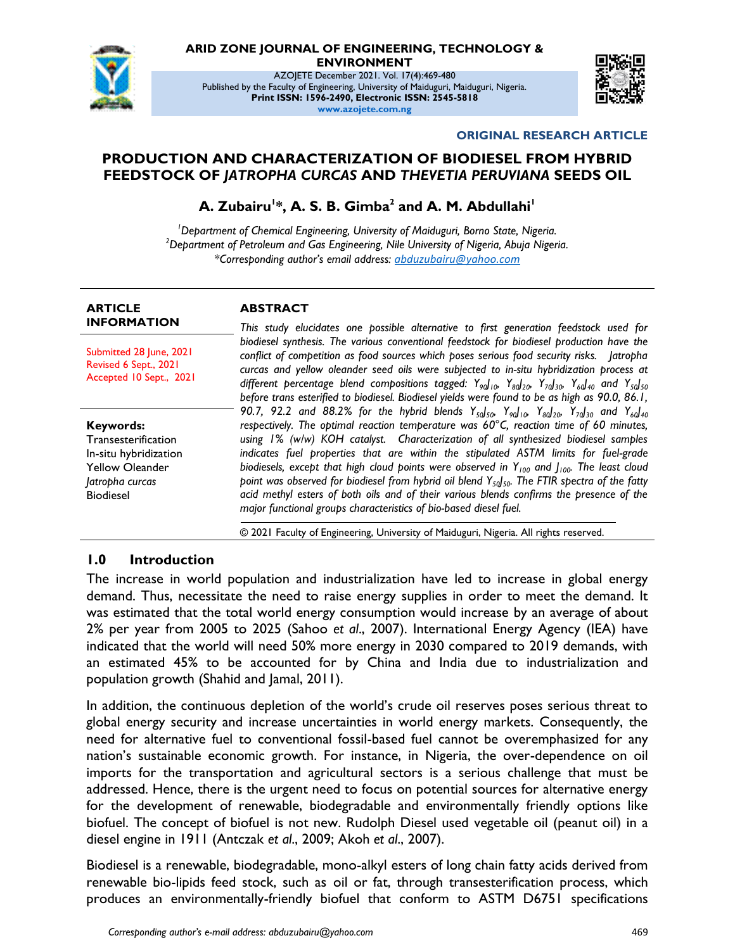

# **ARID ZONE JOURNAL OF ENGINEERING, TECHNOLOGY &**

**ENVIRONMENT**

AZOJETE December 2021. Vol. 17(4):469-480 Published by the Faculty of Engineering, University of Maiduguri, Maiduguri, Nigeria. **Print ISSN: 1596-2490, Electronic ISSN: 2545-5818 www.azojete.com.ng**



#### **ORIGINAL RESEARCH ARTICLE**

## **PRODUCTION AND CHARACTERIZATION OF BIODIESEL FROM HYBRID FEEDSTOCK OF** *JATROPHA CURCAS* **AND** *THEVETIA PERUVIANA* **SEEDS OIL**

**A. Zubairu<sup>1</sup> \*, A. S. B. Gimba<sup>2</sup> and A. M. Abdullahi<sup>1</sup>**

*<sup>1</sup>Department of Chemical Engineering, University of Maiduguri, Borno State, Nigeria. <sup>2</sup>Department of Petroleum and Gas Engineering, Nile University of Nigeria, Abuja Nigeria. \*Corresponding author's email address: abduzubairu@yahoo.com*

| <b>ARTICLE</b><br><b>INFORMATION</b>                                                                                       | <b>ABSTRACT</b>                                                                                                                                                                                                                                                                                                                                                                                                                                                                                                                                                                                                                                                                                                                                                                                           |  |  |  |  |  |
|----------------------------------------------------------------------------------------------------------------------------|-----------------------------------------------------------------------------------------------------------------------------------------------------------------------------------------------------------------------------------------------------------------------------------------------------------------------------------------------------------------------------------------------------------------------------------------------------------------------------------------------------------------------------------------------------------------------------------------------------------------------------------------------------------------------------------------------------------------------------------------------------------------------------------------------------------|--|--|--|--|--|
|                                                                                                                            | This study elucidates one possible alternative to first generation feedstock used for                                                                                                                                                                                                                                                                                                                                                                                                                                                                                                                                                                                                                                                                                                                     |  |  |  |  |  |
| Submitted 28 June, 2021<br>Revised 6 Sept., 2021<br>Accepted 10 Sept., 2021                                                | biodiesel synthesis. The various conventional feedstock for biodiesel production have the<br>conflict of competition as food sources which poses serious food security risks. Jatropha<br>curcas and yellow oleander seed oils were subjected to in-situ hybridization process at<br>different percentage blend compositions tagged: $Y_{90} _{10}$ , $Y_{80} _{20}$ , $Y_{70} _{30}$ , $Y_{60} _{40}$ and $Y_{50} _{50}$<br>before trans esterified to biodiesel. Biodiesel yields were found to be as high as 90.0, 86.1,                                                                                                                                                                                                                                                                               |  |  |  |  |  |
| Keywords:<br>Transesterification<br>In-situ hybridization<br><b>Yellow Oleander</b><br>Jatropha curcas<br><b>Biodiesel</b> | 90.7, 92.2 and 88.2% for the hybrid blends $Y_{s0}J_{50}$ , $Y_{90}J_{10}$ , $Y_{80}J_{20}$ , $Y_{70}J_{30}$ and $Y_{60}J_{40}$<br>respectively. The optimal reaction temperature was $60^{\circ}$ C, reaction time of 60 minutes,<br>using 1% (w/w) KOH catalyst. Characterization of all synthesized biodiesel samples<br>indicates fuel properties that are within the stipulated ASTM limits for fuel-grade<br>biodiesels, except that high cloud points were observed in $Y_{100}$ and $Y_{100}$ . The least cloud<br>point was observed for biodiesel from hybrid oil blend $Y_{50}$ <sub>50</sub> . The FTIR spectra of the fatty<br>acid methyl esters of both oils and of their various blends confirms the presence of the<br>major functional groups characteristics of bio-based diesel fuel. |  |  |  |  |  |

© 2021 Faculty of Engineering, University of Maiduguri, Nigeria. All rights reserved.

#### **1.0 Introduction**

The increase in world population and industrialization have led to increase in global energy demand. Thus, necessitate the need to raise energy supplies in order to meet the demand. It was estimated that the total world energy consumption would increase by an average of about 2% per year from 2005 to 2025 (Sahoo *et al*., 2007). International Energy Agency (IEA) have indicated that the world will need 50% more energy in 2030 compared to 2019 demands, with an estimated 45% to be accounted for by China and India due to industrialization and population growth (Shahid and Jamal, 2011).

In addition, the continuous depletion of the world's crude oil reserves poses serious threat to global energy security and increase uncertainties in world energy markets. Consequently, the need for alternative fuel to conventional fossil-based fuel cannot be overemphasized for any nation's sustainable economic growth. For instance, in Nigeria, the over-dependence on oil imports for the transportation and agricultural sectors is a serious challenge that must be addressed. Hence, there is the urgent need to focus on potential sources for alternative energy for the development of renewable, biodegradable and environmentally friendly options like biofuel. The concept of biofuel is not new. Rudolph Diesel used vegetable oil (peanut oil) in a diesel engine in 1911 (Antczak *et al*., 2009; Akoh *et al*., 2007).

Biodiesel is a renewable, biodegradable, mono-alkyl esters of long chain fatty acids derived from renewable bio-lipids feed stock, such as oil or fat, through transesterification process, which produces an environmentally-friendly biofuel that conform to ASTM D6751 specifications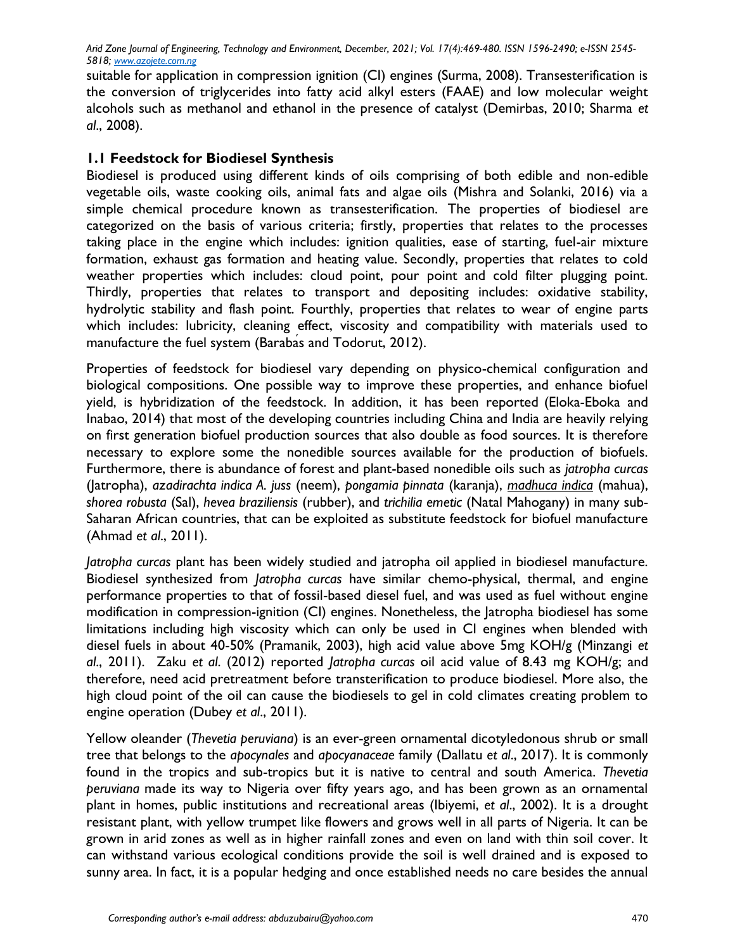suitable for application in compression ignition (CI) engines (Surma, 2008). Transesterification is the conversion of triglycerides into fatty acid alkyl esters (FAAE) and low molecular weight alcohols such as methanol and ethanol in the presence of catalyst (Demirbas, 2010; Sharma *et al*., 2008).

### **1.1 Feedstock for Biodiesel Synthesis**

Biodiesel is produced using different kinds of oils comprising of both edible and non-edible vegetable oils, waste cooking oils, animal fats and algae oils (Mishra and Solanki, 2016) via a simple chemical procedure known as transesterification. The properties of biodiesel are categorized on the basis of various criteria; firstly, properties that relates to the processes taking place in the engine which includes: ignition qualities, ease of starting, fuel-air mixture formation, exhaust gas formation and heating value. Secondly, properties that relates to cold weather properties which includes: cloud point, pour point and cold filter plugging point. Thirdly, properties that relates to transport and depositing includes: oxidative stability, hydrolytic stability and flash point. Fourthly, properties that relates to wear of engine parts which includes: lubricity, cleaning effect, viscosity and compatibility with materials used to manufacture the fuel system (Barabas and Todorut, 2012).

Properties of feedstock for biodiesel vary depending on physico-chemical configuration and biological compositions. One possible way to improve these properties, and enhance biofuel yield, is hybridization of the feedstock. In addition, it has been reported (Eloka-Eboka and Inabao, 2014) that most of the developing countries including China and India are heavily relying on first generation biofuel production sources that also double as food sources. It is therefore necessary to explore some the nonedible sources available for the production of biofuels. Furthermore, there is abundance of forest and plant-based nonedible oils such as *jatropha curcas* (Jatropha), *azadirachta indica A. juss* (neem), *pongamia pinnata* (karanja), *madhuca indica* (mahua), *shorea robusta* (Sal), *hevea braziliensis* (rubber), and *trichilia emetic* (Natal Mahogany) in many sub-Saharan African countries, that can be exploited as substitute feedstock for biofuel manufacture (Ahmad *et al*., 2011).

*Jatropha curcas* plant has been widely studied and jatropha oil applied in biodiesel manufacture. Biodiesel synthesized from *Jatropha curcas* have similar chemo-physical, thermal, and engine performance properties to that of fossil-based diesel fuel, and was used as fuel without engine modification in compression-ignition (CI) engines. Nonetheless, the Jatropha biodiesel has some limitations including high viscosity which can only be used in CI engines when blended with diesel fuels in about 40-50% (Pramanik, 2003), high acid value above 5mg KOH/g (Minzangi *et al*., 2011). Zaku *et al*. (2012) reported *Jatropha curcas* oil acid value of 8.43 mg KOH/g; and therefore, need acid pretreatment before transterification to produce biodiesel. More also, the high cloud point of the oil can cause the biodiesels to gel in cold climates creating problem to engine operation (Dubey *et al*., 2011).

Yellow oleander (*Thevetia peruviana*) is an ever-green ornamental dicotyledonous shrub or small tree that belongs to the *apocynales* and *apocyanaceae* family (Dallatu *et al*., 2017). It is commonly found in the tropics and sub-tropics but it is native to central and south America. *Thevetia peruviana* made its way to Nigeria over fifty years ago, and has been grown as an ornamental plant in homes, public institutions and recreational areas (Ibiyemi, *et al*., 2002). It is a drought resistant plant, with yellow trumpet like flowers and grows well in all parts of Nigeria. It can be grown in arid zones as well as in higher rainfall zones and even on land with thin soil cover. It can withstand various ecological conditions provide the soil is well drained and is exposed to sunny area. In fact, it is a popular hedging and once established needs no care besides the annual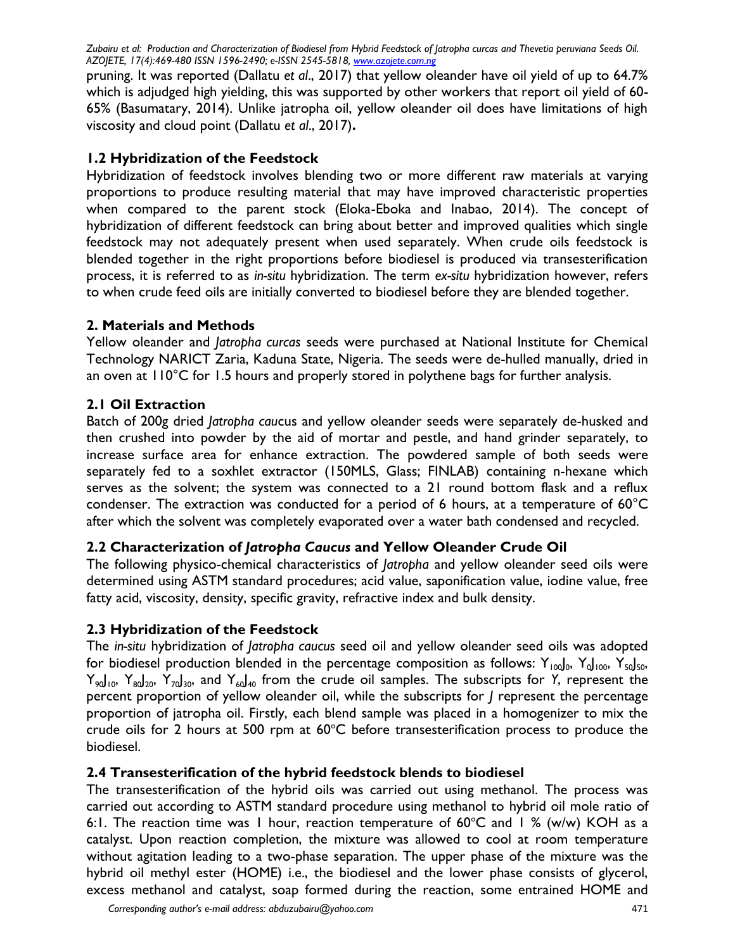pruning. It was reported (Dallatu *et al*., 2017) that yellow oleander have oil yield of up to 64.7% which is adjudged high yielding, this was supported by other workers that report oil yield of 60- 65% (Basumatary, 2014). Unlike jatropha oil, yellow oleander oil does have limitations of high viscosity and cloud point (Dallatu *et al*., 2017)**.**

## **1.2 Hybridization of the Feedstock**

Hybridization of feedstock involves blending two or more different raw materials at varying proportions to produce resulting material that may have improved characteristic properties when compared to the parent stock (Eloka-Eboka and Inabao, 2014). The concept of hybridization of different feedstock can bring about better and improved qualities which single feedstock may not adequately present when used separately. When crude oils feedstock is blended together in the right proportions before biodiesel is produced via transesterification process, it is referred to as *in-situ* hybridization. The term *ex-situ* hybridization however, refers to when crude feed oils are initially converted to biodiesel before they are blended together.

## **2. Materials and Methods**

Yellow oleander and *Jatropha curcas* seeds were purchased at National Institute for Chemical Technology NARICT Zaria, Kaduna State, Nigeria. The seeds were de-hulled manually, dried in an oven at 110°C for 1.5 hours and properly stored in polythene bags for further analysis.

## **2.1 Oil Extraction**

Batch of 200g dried *Jatropha cau*cus and yellow oleander seeds were separately de-husked and then crushed into powder by the aid of mortar and pestle, and hand grinder separately, to increase surface area for enhance extraction. The powdered sample of both seeds were separately fed to a soxhlet extractor (150MLS, Glass; FINLAB) containing n-hexane which serves as the solvent; the system was connected to a 21 round bottom flask and a reflux condenser. The extraction was conducted for a period of 6 hours, at a temperature of 60°C after which the solvent was completely evaporated over a water bath condensed and recycled.

## **2.2 Characterization of** *Jatropha Caucus* **and Yellow Oleander Crude Oil**

The following physico-chemical characteristics of *Jatropha* and yellow oleander seed oils were determined using ASTM standard procedures; acid value, saponification value, iodine value, free fatty acid, viscosity, density, specific gravity, refractive index and bulk density.

### **2.3 Hybridization of the Feedstock**

The *in-situ* hybridization of *Jatropha caucus* seed oil and yellow oleander seed oils was adopted for biodiesel production blended in the percentage composition as follows:  $Y_{100}J_0$ ,  $Y_{J100}$ ,  $Y_{50}J_{50}$ , Y<sub>90</sub>J<sub>10</sub>, Y<sub>80</sub>J<sub>20</sub>, Y<sub>70</sub>J<sub>30</sub>, and Y<sub>60</sub>J<sub>40</sub> from the crude oil samples. The subscripts for Y, represent the percent proportion of yellow oleander oil, while the subscripts for *J* represent the percentage proportion of jatropha oil. Firstly, each blend sample was placed in a homogenizer to mix the crude oils for 2 hours at 500 rpm at  $60^{\circ}$ C before transesterification process to produce the biodiesel.

### **2.4 Transesterification of the hybrid feedstock blends to biodiesel**

The transesterification of the hybrid oils was carried out using methanol. The process was carried out according to ASTM standard procedure using methanol to hybrid oil mole ratio of 6:1. The reaction time was 1 hour, reaction temperature of  $60^{\circ}$ C and 1 % (w/w) KOH as a catalyst. Upon reaction completion, the mixture was allowed to cool at room temperature without agitation leading to a two-phase separation. The upper phase of the mixture was the hybrid oil methyl ester (HOME) i.e., the biodiesel and the lower phase consists of glycerol, excess methanol and catalyst, soap formed during the reaction, some entrained HOME and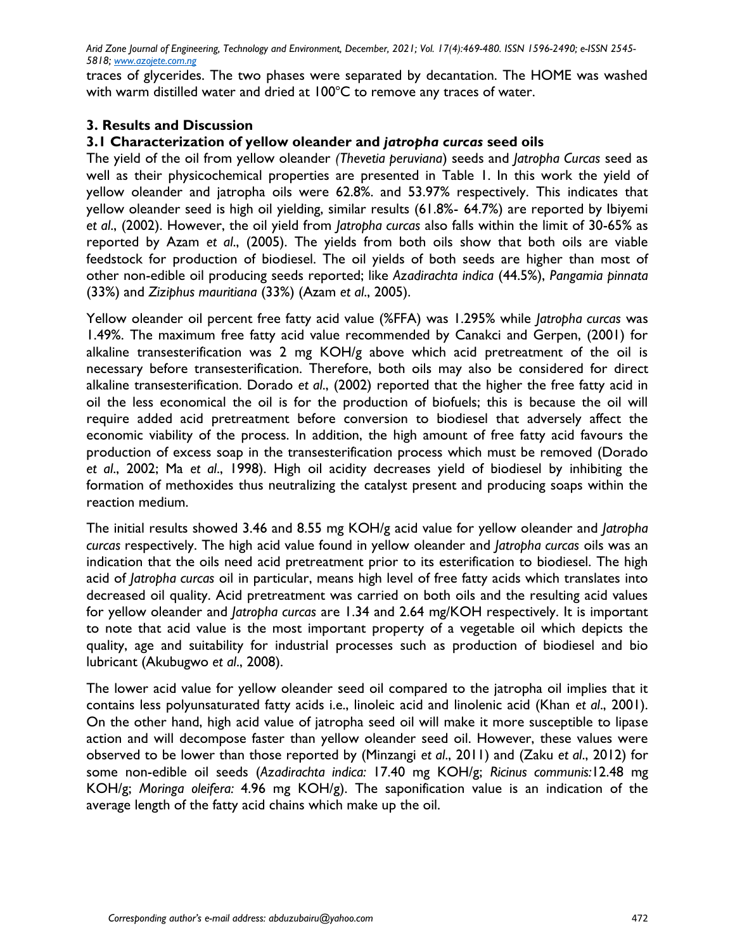traces of glycerides. The two phases were separated by decantation. The HOME was washed with warm distilled water and dried at  $100^{\circ}$ C to remove any traces of water.

## **3. Results and Discussion**

### **3.1 Characterization of yellow oleander and** *jatropha curcas* **seed oils**

The yield of the oil from yellow oleander *(Thevetia peruviana*) seeds and *Jatropha Curcas* seed as well as their physicochemical properties are presented in Table 1. In this work the yield of yellow oleander and jatropha oils were 62.8%. and 53.97% respectively. This indicates that yellow oleander seed is high oil yielding, similar results (61.8%- 64.7%) are reported by Ibiyemi *et al*., (2002). However, the oil yield from *Jatropha curcas* also falls within the limit of 30-65% as reported by Azam *et al*., (2005). The yields from both oils show that both oils are viable feedstock for production of biodiesel. The oil yields of both seeds are higher than most of other non-edible oil producing seeds reported; like *Azadirachta indica* (44.5%), *Pangamia pinnata* (33%) and *Ziziphus mauritiana* (33%) (Azam *et al*., 2005).

Yellow oleander oil percent free fatty acid value (%FFA) was 1.295% while *Jatropha curcas* was 1.49%. The maximum free fatty acid value recommended by Canakci and Gerpen, (2001) for alkaline transesterification was 2 mg KOH/g above which acid pretreatment of the oil is necessary before transesterification. Therefore, both oils may also be considered for direct alkaline transesterification. Dorado *et al*., (2002) reported that the higher the free fatty acid in oil the less economical the oil is for the production of biofuels; this is because the oil will require added acid pretreatment before conversion to biodiesel that adversely affect the economic viability of the process. In addition, the high amount of free fatty acid favours the production of excess soap in the transesterification process which must be removed (Dorado *et al*., 2002; Ma *et al*., 1998). High oil acidity decreases yield of biodiesel by inhibiting the formation of methoxides thus neutralizing the catalyst present and producing soaps within the reaction medium.

The initial results showed 3.46 and 8.55 mg KOH/g acid value for yellow oleander and *Jatropha curcas* respectively. The high acid value found in yellow oleander and *Jatropha curcas* oils was an indication that the oils need acid pretreatment prior to its esterification to biodiesel. The high acid of *Jatropha curcas* oil in particular, means high level of free fatty acids which translates into decreased oil quality. Acid pretreatment was carried on both oils and the resulting acid values for yellow oleander and *Jatropha curcas* are 1.34 and 2.64 mg/KOH respectively. It is important to note that acid value is the most important property of a vegetable oil which depicts the quality, age and suitability for industrial processes such as production of biodiesel and bio lubricant (Akubugwo *et al*., 2008).

The lower acid value for yellow oleander seed oil compared to the jatropha oil implies that it contains less polyunsaturated fatty acids i.e., linoleic acid and linolenic acid (Khan *et al*., 2001). On the other hand, high acid value of jatropha seed oil will make it more susceptible to lipase action and will decompose faster than yellow oleander seed oil. However, these values were observed to be lower than those reported by (Minzangi *et al*., 2011) and (Zaku *et al*., 2012) for some non-edible oil seeds (*Azadirachta indica:* 17.40 mg KOH/g; *Ricinus communis:*12.48 mg KOH/g; *Moringa oleifera:* 4.96 mg KOH/g). The saponification value is an indication of the average length of the fatty acid chains which make up the oil.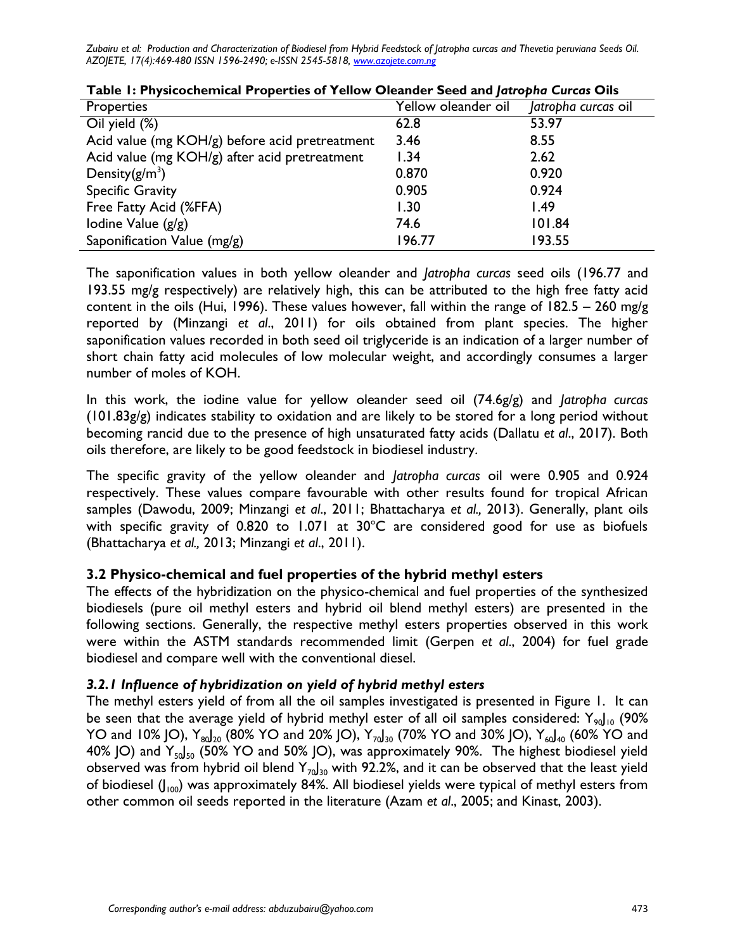| <b>Properties</b>                              | Yellow oleander oil | Jatropha curcas oil |
|------------------------------------------------|---------------------|---------------------|
| Oil yield $\overline{(\%)}$                    | 62.8                | 53.97               |
| Acid value (mg KOH/g) before acid pretreatment | 3.46                | 8.55                |
| Acid value (mg KOH/g) after acid pretreatment  | 1.34                | 2.62                |
| Density $(g/m^3)$                              | 0.870               | 0.920               |
| <b>Specific Gravity</b>                        | 0.905               | 0.924               |
| Free Fatty Acid (%FFA)                         | 1.30                | 1.49                |
| lodine Value (g/g)                             | 74.6                | 101.84              |
| Saponification Value (mg/g)                    | 196.77              | 193.55              |

### **Table 1: Physicochemical Properties of Yellow Oleander Seed and** *Jatropha Curcas* **Oils**

The saponification values in both yellow oleander and *Jatropha curcas* seed oils (196.77 and 193.55 mg/g respectively) are relatively high, this can be attributed to the high free fatty acid content in the oils (Hui, 1996). These values however, fall within the range of 182.5 – 260 mg/g reported by (Minzangi *et al*., 2011) for oils obtained from plant species. The higher saponification values recorded in both seed oil triglyceride is an indication of a larger number of short chain fatty acid molecules of low molecular weight, and accordingly consumes a larger number of moles of KOH.

In this work, the iodine value for yellow oleander seed oil (74.6g/g) and *Jatropha curcas* (101.83g/g) indicates stability to oxidation and are likely to be stored for a long period without becoming rancid due to the presence of high unsaturated fatty acids (Dallatu *et al*., 2017). Both oils therefore, are likely to be good feedstock in biodiesel industry.

The specific gravity of the yellow oleander and *Jatropha curcas* oil were 0.905 and 0.924 respectively. These values compare favourable with other results found for tropical African samples (Dawodu, 2009; Minzangi *et al*., 2011; Bhattacharya *et al.,* 2013). Generally, plant oils with specific gravity of 0.820 to 1.071 at  $30^{\circ}$ C are considered good for use as biofuels (Bhattacharya *et al.,* 2013; Minzangi *et al*., 2011).

## **3.2 Physico-chemical and fuel properties of the hybrid methyl esters**

The effects of the hybridization on the physico-chemical and fuel properties of the synthesized biodiesels (pure oil methyl esters and hybrid oil blend methyl esters) are presented in the following sections. Generally, the respective methyl esters properties observed in this work were within the ASTM standards recommended limit (Gerpen *et al*., 2004) for fuel grade biodiesel and compare well with the conventional diesel.

## *3.2.1 Influence of hybridization on yield of hybrid methyl esters*

The methyl esters yield of from all the oil samples investigated is presented in Figure 1. It can be seen that the average yield of hybrid methyl ester of all oil samples considered:  $Y_{90}|_{10}$  (90% YO and 10% JO),  $Y_{80}$ <sub>20</sub> (80% YO and 20% JO),  $Y_{70}$ <sub>30</sub> (70% YO and 30% JO),  $Y_{60}$ <sub>40</sub> (60% YO and 40% JO) and  $Y_{50}$  $\frac{1}{50}$  (50% YO and 50% JO), was approximately 90%. The highest biodiesel yield observed was from hybrid oil blend  $Y_{70}J_{30}$  with 92.2%, and it can be observed that the least yield of biodiesel  $(J_{100})$  was approximately 84%. All biodiesel yields were typical of methyl esters from other common oil seeds reported in the literature (Azam *et al*., 2005; and Kinast, 2003).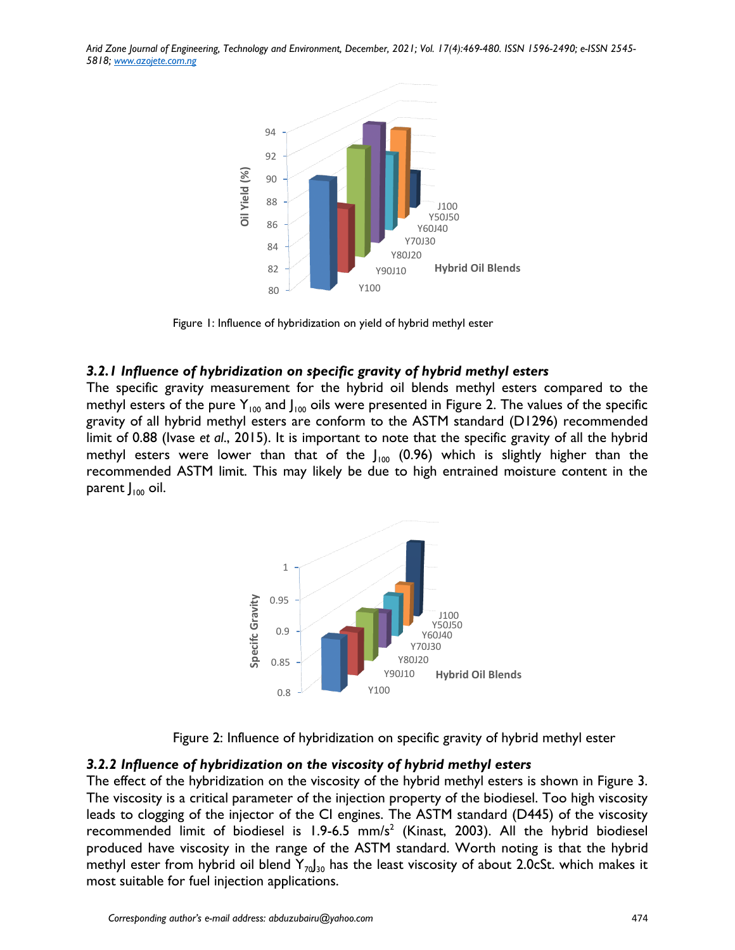

Figure 1: Influence of hybridization on yield of hybrid methyl ester

#### *3.2.1 Influence of hybridization on specific gravity of hybrid methyl esters*

The specific gravity measurement for the hybrid oil blends methyl esters compared to the methyl esters of the pure  $Y_{100}$  and  $J_{100}$  oils were presented in Figure 2. The values of the specific gravity of all hybrid methyl esters are conform to the ASTM standard (D1296) recommended limit of 0.88 (Ivase *et al*., 2015). It is important to note that the specific gravity of all the hybrid methyl esters were lower than that of the  $J_{100}$  (0.96) which is slightly higher than the recommended ASTM limit. This may likely be due to high entrained moisture content in the parent  $J_{100}$  oil.



Figure 2: Influence of hybridization on specific gravity of hybrid methyl ester

#### *3.2.2 Influence of hybridization on the viscosity of hybrid methyl esters*

The effect of the hybridization on the viscosity of the hybrid methyl esters is shown in Figure 3. The viscosity is a critical parameter of the injection property of the biodiesel. Too high viscosity leads to clogging of the injector of the CI engines. The ASTM standard (D445) of the viscosity recommended limit of biodiesel is  $1.9$ -6.5 mm/s<sup>2</sup> (Kinast, 2003). All the hybrid biodiesel produced have viscosity in the range of the ASTM standard. Worth noting is that the hybrid methyl ester from hybrid oil blend  $Y_{70}J_{30}$  has the least viscosity of about 2.0cSt. which makes it most suitable for fuel injection applications.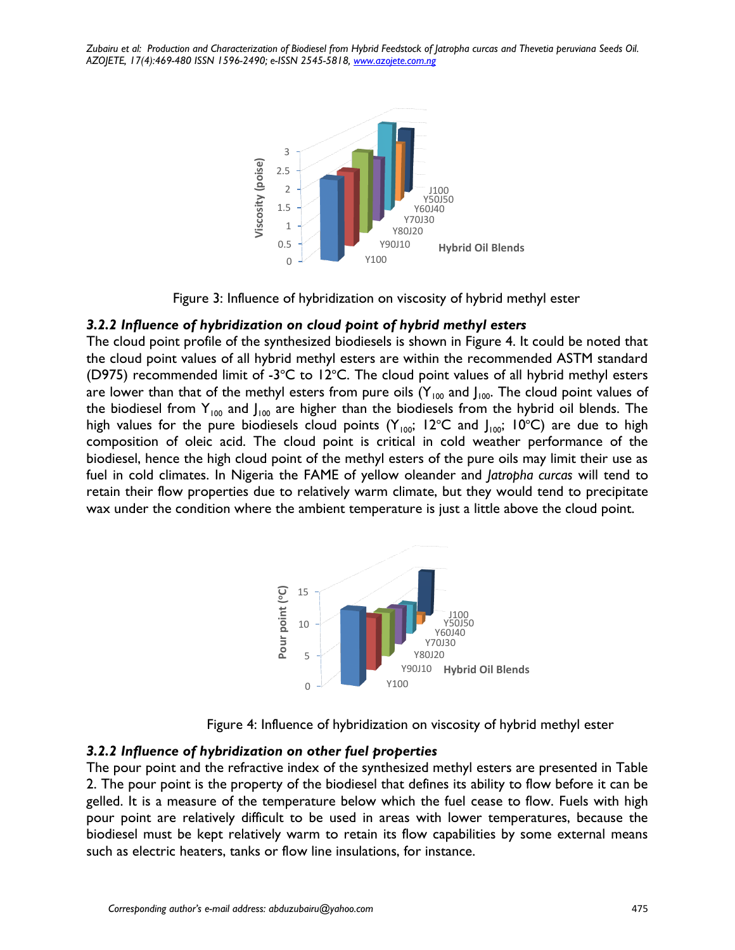



### *3.2.2 Influence of hybridization on cloud point of hybrid methyl esters*

The cloud point profile of the synthesized biodiesels is shown in Figure 4. It could be noted that the cloud point values of all hybrid methyl esters are within the recommended ASTM standard (D975) recommended limit of -3 $^{\circ}$ C to 12 $^{\circ}$ C. The cloud point values of all hybrid methyl esters are lower than that of the methyl esters from pure oils  $(Y_{100}$  and  $J_{100}$ . The cloud point values of the biodiesel from  $Y_{100}$  and  $J_{100}$  are higher than the biodiesels from the hybrid oil blends. The high values for the pure biodiesels cloud points ( $Y_{100}$ ; 12°C and  $J_{100}$ ; 10°C) are due to high composition of oleic acid. The cloud point is critical in cold weather performance of the biodiesel, hence the high cloud point of the methyl esters of the pure oils may limit their use as fuel in cold climates. In Nigeria the FAME of yellow oleander and *Jatropha curcas* will tend to retain their flow properties due to relatively warm climate, but they would tend to precipitate wax under the condition where the ambient temperature is just a little above the cloud point.



Figure 4: Influence of hybridization on viscosity of hybrid methyl ester

### *3.2.2 Influence of hybridization on other fuel properties*

The pour point and the refractive index of the synthesized methyl esters are presented in Table 2. The pour point is the property of the biodiesel that defines its ability to flow before it can be gelled. It is a measure of the temperature below which the fuel cease to flow. Fuels with high pour point are relatively difficult to be used in areas with lower temperatures, because the biodiesel must be kept relatively warm to retain its flow capabilities by some external means such as electric heaters, tanks or flow line insulations, for instance.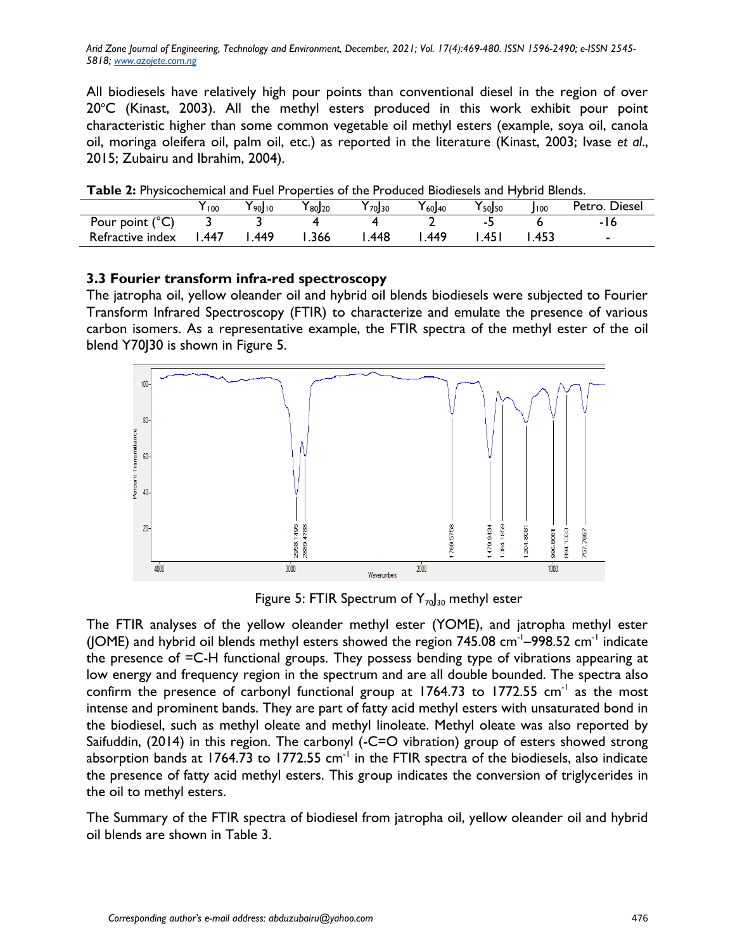All biodiesels have relatively high pour points than conventional diesel in the region of over  $20^{\circ}$ C (Kinast, 2003). All the methyl esters produced in this work exhibit pour point characteristic higher than some common vegetable oil methyl esters (example, soya oil, canola oil, moringa oleifera oil, palm oil, etc.) as reported in the literature (Kinast, 2003; Ivase *et al*., 2015; Zubairu and Ibrahim, 2004).

| <b>I QUIC 4.</b> I hysicochemical and Tuel I Toperues of the Froduced Diodiesels and Trybitd Dienus. |      |                        |                         |             |             |                        |       |               |
|------------------------------------------------------------------------------------------------------|------|------------------------|-------------------------|-------------|-------------|------------------------|-------|---------------|
|                                                                                                      | 100  | $Y_{90}$ <sub>10</sub> | $\mathsf{Y}_{80} _{20}$ | $Y_{70}$ 30 | $Y_{60}$ 40 | $Y_{50}$ <sub>50</sub> | 100   | Petro. Diesel |
| Pour point (°C)                                                                                      |      |                        |                         |             |             |                        |       | -16           |
| Refractive index                                                                                     | -447 | l 449                  | .366                    | .448        | .449        | .451                   | . 453 |               |

**Table 2:** Physicochemical and Fuel Properties of the Produced Biodiesels and Hybrid Blends.

## **3.3 Fourier transform infra-red spectroscopy**

The jatropha oil, yellow oleander oil and hybrid oil blends biodiesels were subjected to Fourier Transform Infrared Spectroscopy (FTIR) to characterize and emulate the presence of various carbon isomers. As a representative example, the FTIR spectra of the methyl ester of the oil blend Y70J30 is shown in Figure 5.



Figure 5: FTIR Spectrum of  $Y_{70}$ <sub>30</sub> methyl ester

The FTIR analyses of the yellow oleander methyl ester (YOME), and jatropha methyl ester (JOME) and hybrid oil blends methyl esters showed the region 745.08 cm<sup>-1</sup>-998.52 cm<sup>-1</sup> indicate the presence of =C-H functional groups. They possess bending type of vibrations appearing at low energy and frequency region in the spectrum and are all double bounded. The spectra also confirm the presence of carbonyl functional group at  $1764.73$  to  $1772.55$  cm<sup>-1</sup> as the most intense and prominent bands. They are part of fatty acid methyl esters with unsaturated bond in the biodiesel, such as methyl oleate and methyl linoleate. Methyl oleate was also reported by Saifuddin, (2014) in this region. The carbonyl (-C=O vibration) group of esters showed strong absorption bands at 1764.73 to 1772.55  $cm^{-1}$  in the FTIR spectra of the biodiesels, also indicate the presence of fatty acid methyl esters. This group indicates the conversion of triglycerides in the oil to methyl esters.

The Summary of the FTIR spectra of biodiesel from jatropha oil, yellow oleander oil and hybrid oil blends are shown in Table 3.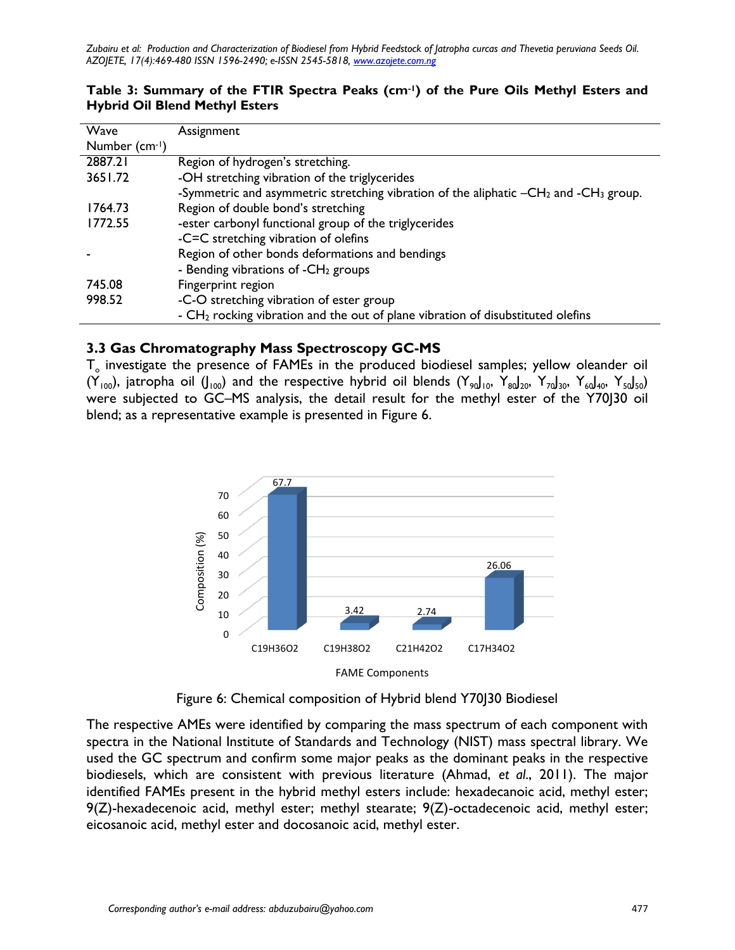| Wave          | Assignment                                                                                 |
|---------------|--------------------------------------------------------------------------------------------|
| Number (cm-1) |                                                                                            |
| 2887.21       | Region of hydrogen's stretching.                                                           |
| 3651.72       | -OH stretching vibration of the triglycerides                                              |
|               | -Symmetric and asymmetric stretching vibration of the aliphatic $-CH_2$ and $-CH_3$ group. |
| 1764.73       | Region of double bond's stretching                                                         |
| 1772.55       | -ester carbonyl functional group of the triglycerides                                      |
|               | -C=C stretching vibration of olefins                                                       |
|               | Region of other bonds deformations and bendings                                            |
|               | - Bending vibrations of $-CH2$ groups                                                      |
| 745.08        | Fingerprint region                                                                         |
| 998.52        | -C-O stretching vibration of ester group                                                   |
|               | - $CH2$ rocking vibration and the out of plane vibration of disubstituted olefins          |

## **Table 3: Summary of the FTIR Spectra Peaks (cm-1) of the Pure Oils Methyl Esters and Hybrid Oil Blend Methyl Esters**

# **3.3 Gas Chromatography Mass Spectroscopy GC-MS**

 ${\sf T}_\circ$  investigate the presence of FAMEs in the produced biodiesel samples; yellow oleander oil  $(Y_{100})$ , jatropha oil  $(J_{100})$  and the respective hybrid oil blends  $(Y_{90})_{10}$ ,  $Y_{80}J_{20}$ ,  $Y_{70}J_{30}$ ,  $Y_{60}J_{40}$ ,  $Y_{50}J_{50}$ ) were subjected to GC–MS analysis, the detail result for the methyl ester of the Y70J30 oil blend; as a representative example is presented in Figure 6.





The respective AMEs were identified by comparing the mass spectrum of each component with spectra in the National Institute of Standards and Technology (NIST) mass spectral library. We used the GC spectrum and confirm some major peaks as the dominant peaks in the respective biodiesels, which are consistent with previous literature (Ahmad, *et al*., 2011). The major identified FAMEs present in the hybrid methyl esters include: hexadecanoic acid, methyl ester; 9(Z)-hexadecenoic acid, methyl ester; methyl stearate; 9(Z)-octadecenoic acid, methyl ester; eicosanoic acid, methyl ester and docosanoic acid, methyl ester.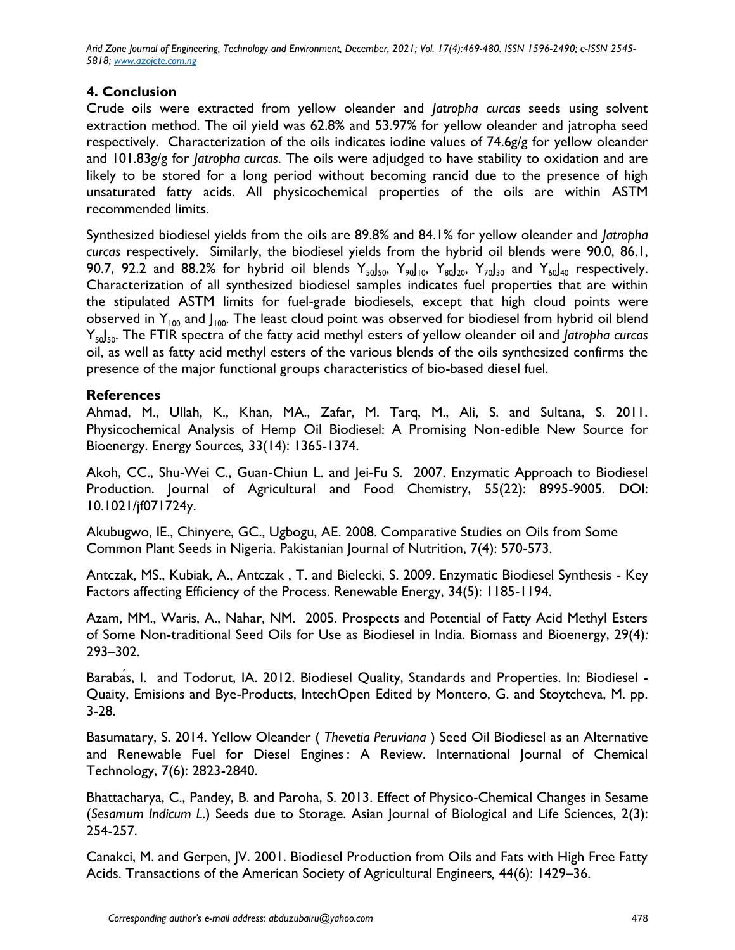# **4. Conclusion**

Crude oils were extracted from yellow oleander and *Jatropha curcas* seeds using solvent extraction method. The oil yield was 62.8% and 53.97% for yellow oleander and jatropha seed respectively. Characterization of the oils indicates iodine values of 74.6g/g for yellow oleander and 101.83g/g for *Jatropha curcas*. The oils were adjudged to have stability to oxidation and are likely to be stored for a long period without becoming rancid due to the presence of high unsaturated fatty acids. All physicochemical properties of the oils are within ASTM recommended limits.

Synthesized biodiesel yields from the oils are 89.8% and 84.1% for yellow oleander and *Jatropha curcas* respectively. Similarly, the biodiesel yields from the hybrid oil blends were 90.0, 86.1, 90.7, 92.2 and 88.2% for hybrid oil blends  $Y_{50}J_{50}$ ,  $Y_{90}J_{10}$ ,  $Y_{80}J_{20}$ ,  $Y_{70}J_{30}$  and  $Y_{60}J_{40}$  respectively. Characterization of all synthesized biodiesel samples indicates fuel properties that are within the stipulated ASTM limits for fuel-grade biodiesels, except that high cloud points were observed in  $Y_{100}$  and  $J_{100}$ . The least cloud point was observed for biodiesel from hybrid oil blend Y50J50. The FTIR spectra of the fatty acid methyl esters of yellow oleander oil and *Jatropha curcas* oil, as well as fatty acid methyl esters of the various blends of the oils synthesized confirms the presence of the major functional groups characteristics of bio-based diesel fuel.

## **References**

Ahmad, M., Ullah, K., Khan, MA., Zafar, M. Tarq, M., Ali, S. and Sultana, S. 2011. Physicochemical Analysis of Hemp Oil Biodiesel: A Promising Non-edible New Source for Bioenergy. Energy Sources*,* 33(14): 1365-1374.

Akoh, CC., Shu-Wei C., Guan-Chiun L. and Jei-Fu S. 2007. Enzymatic Approach to Biodiesel Production. Journal of Agricultural and Food Chemistry, 55(22): 8995-9005. DOI: 10.1021/jf071724y.

Akubugwo, IE., Chinyere, GC., Ugbogu, AE. 2008. Comparative Studies on Oils from Some Common Plant Seeds in Nigeria. Pakistanian Journal of Nutrition, 7(4): 570-573.

Antczak, MS., Kubiak, A., Antczak , T. and Bielecki, S. 2009. Enzymatic Biodiesel Synthesis - Key Factors affecting Efficiency of the Process. Renewable Energy, 34(5): 1185-1194.

Azam, MM., Waris, A., Nahar, NM. 2005. Prospects and Potential of Fatty Acid Methyl Esters of Some Non-traditional Seed Oils for Use as Biodiesel in India. Biomass and Bioenergy, 29(4)*:* 293–302.

Barabas, I. and Todorut, IA. 2012. Biodiesel Quality, Standards and Properties. In: Biodiesel -Quaity, Emisions and Bye-Products, IntechOpen Edited by Montero, G. and Stoytcheva, M. pp. 3-28.

Basumatary, S. 2014. Yellow Oleander ( *Thevetia Peruviana* ) Seed Oil Biodiesel as an Alternative and Renewable Fuel for Diesel Engines : A Review. International Journal of Chemical Technology, 7(6): 2823-2840.

Bhattacharya, C., Pandey, B. and Paroha, S. 2013. Effect of Physico-Chemical Changes in Sesame (*Sesamum Indicum L*.) Seeds due to Storage. Asian Journal of Biological and Life Sciences*,* 2(3): 254-257.

Canakci, M. and Gerpen, JV. 2001. Biodiesel Production from Oils and Fats with High Free Fatty Acids. Transactions of the American Society of Agricultural Engineers*,* 44(6): 1429–36.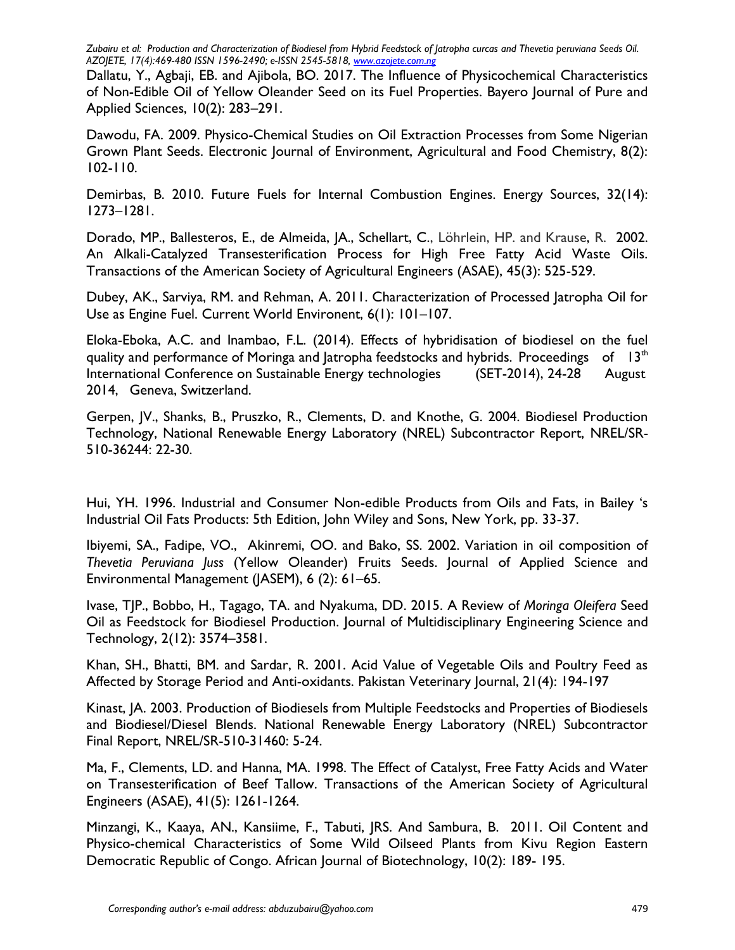Dallatu, Y., Agbaji, EB. and Ajibola, BO. 2017. The Influence of Physicochemical Characteristics of Non-Edible Oil of Yellow Oleander Seed on its Fuel Properties. Bayero Journal of Pure and Applied Sciences, 10(2): 283–291.

Dawodu, FA. 2009. Physico-Chemical Studies on Oil Extraction Processes from Some Nigerian Grown Plant Seeds. Electronic Journal of Environment, Agricultural and Food Chemistry, 8(2): 102-110.

Demirbas, B. 2010. Future Fuels for Internal Combustion Engines. Energy Sources, 32(14): 1273–1281.

Dorado, MP., Ballesteros, E., de Almeida, JA., Schellart, C., Löhrlein, HP. and Krause, R. 2002. An Alkali-Catalyzed Transesterification Process for High Free Fatty Acid Waste Oils. Transactions of the American Society of Agricultural Engineers (ASAE), 45(3): 525-529.

Dubey, AK., Sarviya, RM. and Rehman, A. 2011. Characterization of Processed Jatropha Oil for Use as Engine Fuel. Current World Environent, 6(1): 101–107.

Eloka-Eboka, A.C. and Inambao, F.L. (2014). Effects of hybridisation of biodiesel on the fuel quality and performance of Moringa and Jatropha feedstocks and hybrids. Proceedings of  $13<sup>th</sup>$ International Conference on Sustainable Energy technologies (SET-2014), 24-28 August 2014, Geneva, Switzerland.

Gerpen, JV., Shanks, B., Pruszko, R., Clements, D. and Knothe, G. 2004. Biodiesel Production Technology, National Renewable Energy Laboratory (NREL) Subcontractor Report, NREL/SR-510-36244: 22-30.

Hui, YH. 1996. Industrial and Consumer Non-edible Products from Oils and Fats, in Bailey 's Industrial Oil Fats Products: 5th Edition, John Wiley and Sons, New York, pp. 33-37.

Ibiyemi, SA., Fadipe, VO., Akinremi, OO. and Bako, SS. 2002. Variation in oil composition of *Thevetia Peruviana Juss* (Yellow Oleander) Fruits Seeds. Journal of Applied Science and Environmental Management (JASEM), 6 (2): 61–65.

Ivase, TJP., Bobbo, H., Tagago, TA. and Nyakuma, DD. 2015. A Review of *Moringa Oleifera* Seed Oil as Feedstock for Biodiesel Production. Journal of Multidisciplinary Engineering Science and Technology, 2(12): 3574–3581.

Khan, SH., Bhatti, BM. and Sardar, R. 2001. Acid Value of Vegetable Oils and Poultry Feed as Affected by Storage Period and Anti-oxidants. Pakistan Veterinary Journal, 21(4): 194-197

Kinast, JA. 2003. Production of Biodiesels from Multiple Feedstocks and Properties of Biodiesels and Biodiesel/Diesel Blends. National Renewable Energy Laboratory (NREL) Subcontractor Final Report, NREL/SR-510-31460: 5-24.

Ma, F., Clements, LD. and Hanna, MA. 1998. The Effect of Catalyst, Free Fatty Acids and Water on Transesterification of Beef Tallow. Transactions of the American Society of Agricultural Engineers (ASAE), 41(5): 1261-1264.

Minzangi, K., Kaaya, AN., Kansiime, F., Tabuti, JRS. And Sambura, B. 2011. Oil Content and Physico-chemical Characteristics of Some Wild Oilseed Plants from Kivu Region Eastern Democratic Republic of Congo. African Journal of Biotechnology, 10(2): 189- 195.